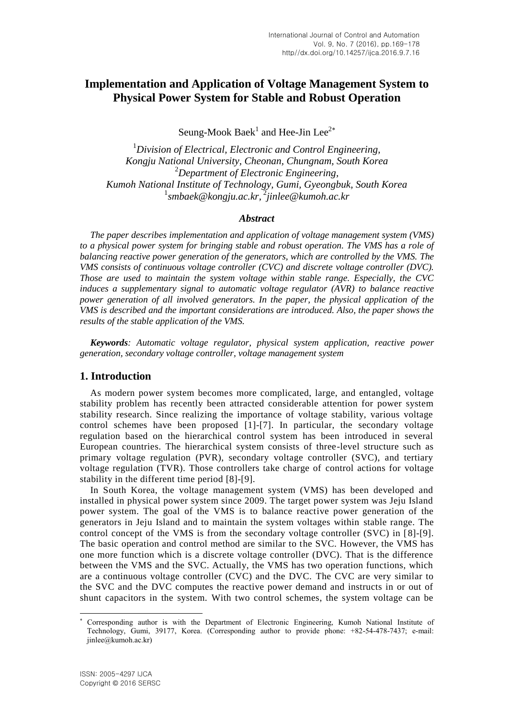# **Implementation and Application of Voltage Management System to Physical Power System for Stable and Robust Operation**

Seung-Mook Baek<sup>1</sup> and Hee-Jin Lee<sup>2\*</sup>

<sup>1</sup>*Division of Electrical, Electronic and Control Engineering, Kongju National University, Cheonan, Chungnam, South Korea* <sup>2</sup>*Department of Electronic Engineering, Kumoh National Institute of Technology, Gumi, Gyeongbuk, South Korea* 1 *smbaek@kongju.ac.kr,* 2 *jinlee@kumoh.ac.kr*

#### *Abstract*

*The paper describes implementation and application of voltage management system (VMS) to a physical power system for bringing stable and robust operation. The VMS has a role of balancing reactive power generation of the generators, which are controlled by the VMS. The VMS consists of continuous voltage controller (CVC) and discrete voltage controller (DVC). Those are used to maintain the system voltage within stable range. Especially, the CVC induces a supplementary signal to automatic voltage regulator (AVR) to balance reactive power generation of all involved generators. In the paper, the physical application of the VMS is described and the important considerations are introduced. Also, the paper shows the results of the stable application of the VMS.*

*Keywords: Automatic voltage regulator, physical system application, reactive power generation, secondary voltage controller, voltage management system*

### **1. Introduction**

As modern power system becomes more complicated, large, and entangled, voltage stability problem has recently been attracted considerable attention for power system stability research. Since realizing the importance of voltage stability, various voltage control schemes have been proposed [1]-[7]. In particular, the secondary voltage regulation based on the hierarchical control system has been introduced in several European countries. The hierarchical system consists of three-level structure such as primary voltage regulation (PVR), secondary voltage controller (SVC), and tertiary voltage regulation (TVR). Those controllers take charge of control actions for voltage stability in the different time period [8]-[9].

In South Korea, the voltage management system (VMS) has been developed and installed in physical power system since 2009. The target power system was Jeju Island power system. The goal of the VMS is to balance reactive power generation of the generators in Jeju Island and to maintain the system voltages within stable range. The control concept of the VMS is from the secondary voltage controller (SVC) in [8]-[9]. The basic operation and control method are similar to the SVC. However, the VMS has one more function which is a discrete voltage controller (DVC). That is the difference between the VMS and the SVC. Actually, the VMS has two operation functions, which are a continuous voltage controller (CVC) and the DVC. The CVC are very similar to the SVC and the DVC computes the reactive power demand and instructs in or out of shunt capacitors in the system. With two control schemes, the system voltage can be

l

Corresponding author is with the Department of Electronic Engineering, Kumoh National Institute of Technology, Gumi, 39177, Korea. (Corresponding author to provide phone: +82-54-478-7437; e-mail: jinlee@kumoh.ac.kr)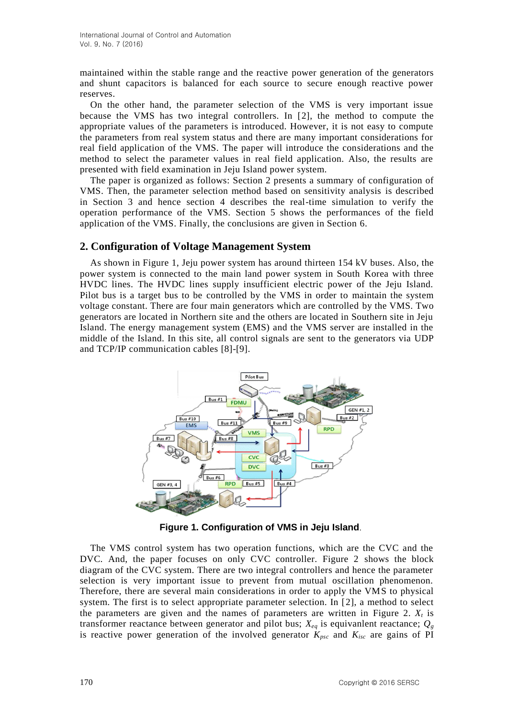maintained within the stable range and the reactive power generation of the generators and shunt capacitors is balanced for each source to secure enough reactive power reserves.

On the other hand, the parameter selection of the VMS is very important issue because the VMS has two integral controllers. In [2], the method to compute the appropriate values of the parameters is introduced. However, it is not easy to compute the parameters from real system status and there are many important considerations for real field application of the VMS. The paper will introduce the considerations and the method to select the parameter values in real field application. Also, the results are presented with field examination in Jeju Island power system.

The paper is organized as follows: Section 2 presents a summary of configuration of VMS. Then, the parameter selection method based on sensitivity analysis is described in Section 3 and hence section 4 describes the real-time simulation to verify the operation performance of the VMS. Section 5 shows the performances of the field application of the VMS. Finally, the conclusions are given in Section 6.

### **2. Configuration of Voltage Management System**

As shown in Figure 1, Jeju power system has around thirteen 154 kV buses. Also, the power system is connected to the main land power system in South Korea with three HVDC lines. The HVDC lines supply insufficient electric power of the Jeju Island. Pilot bus is a target bus to be controlled by the VMS in order to maintain the system voltage constant. There are four main generators which are controlled by the VMS. Two generators are located in Northern site and the others are located in Southern site in Jeju Island. The energy management system (EMS) and the VMS server are installed in the middle of the Island. In this site, all control signals are sent to the generators via UDP and TCP/IP communication cables [8]-[9].



**Figure 1. Configuration of VMS in Jeju Island**.

The VMS control system has two operation functions, which are the CVC and the DVC. And, the paper focuses on only CVC controller. Figure 2 shows the block diagram of the CVC system. There are two integral controllers and hence the parameter selection is very important issue to prevent from mutual oscillation phenomenon. Therefore, there are several main considerations in order to apply the VMS to physical system. The first is to select appropriate parameter selection. In [2], a method to select the parameters are given and the names of parameters are written in Figure 2.  $X_t$  is transformer reactance between generator and pilot bus;  $X_{eq}$  is equivanlent reactance;  $Q_{g}$ is reactive power generation of the involved generator  $K_{psc}$  and  $K_{isc}$  are gains of PI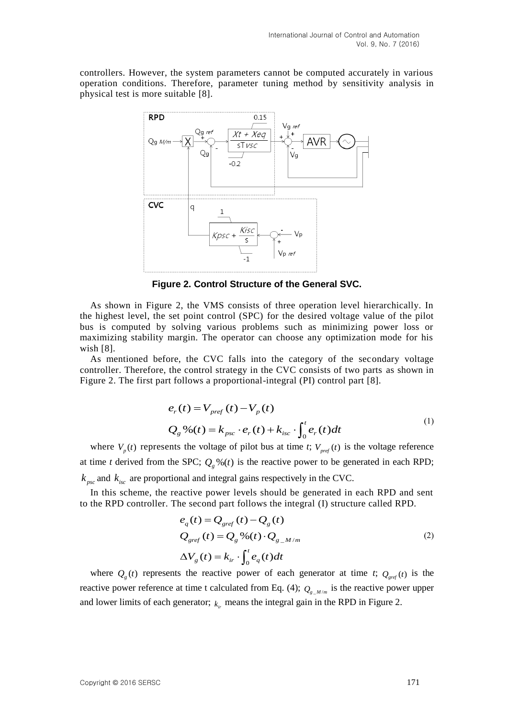controllers. However, the system parameters cannot be computed accurately in various operation conditions. Therefore, parameter tuning method by sensitivity analysis in physical test is more suitable [8].



**Figure 2. Control Structure of the General SVC.**

As shown in Figure 2, the VMS consists of three operation level hierarchically. In the highest level, the set point control (SPC) for the desired voltage value of the pilot bus is computed by solving various problems such as minimizing power loss or maximizing stability margin. The operator can choose any optimization mode for his wish [8].

As mentioned before, the CVC falls into the category of the secondary voltage controller. Therefore, the control strategy in the CVC consists of two parts as shown in Figure 2. The first part follows a proportional-integral (PI) control part [8].

$$
e_r(t) = V_{pref}(t) - V_p(t)
$$
  
\n
$$
Q_g \% (t) = k_{psc} \cdot e_r(t) + k_{isc} \cdot \int_0^t e_r(t) dt
$$
\n(1)

where  $V_p(t)$  represents the voltage of pilot bus at time *t*;  $V_{pref}(t)$  is the voltage reference at time *t* derived from the SPC;  $Q_g$ %(*t*) is the reactive power to be generated in each RPD;  $k_{\text{psc}}$  and  $k_{\text{isc}}$  are proportional and integral gains respectively in the CVC.

In this scheme, the reactive power levels should be generated in each RPD and sent to the RPD controller. The second part follows the integral (I) structure called RPD.

$$
e_q(t) = Q_{\text{gref}}(t) - Q_{\text{g}}(t)
$$
  
\n
$$
Q_{\text{gref}}(t) = Q_{\text{g}} \% (t) \cdot Q_{\text{g} \_M/m}
$$
  
\n
$$
\Delta V_{\text{g}}(t) = k_{ir} \cdot \int_0^t e_q(t) dt
$$
\n(2)

where  $Q_g(t)$  represents the reactive power of each generator at time *t*;  $Q_{\text{gref}}(t)$  is the reactive power reference at time t calculated from Eq. (4);  $Q_{g_M/m}$  is the reactive power upper and lower limits of each generator;  $k_{ir}$  means the integral gain in the RPD in Figure 2.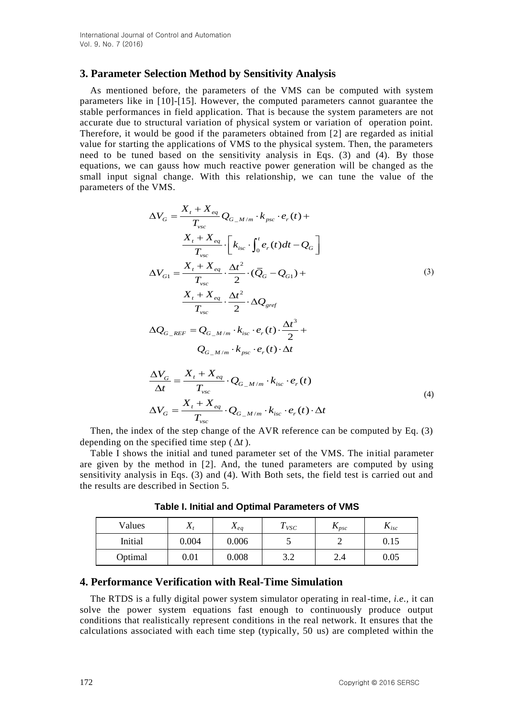## **3. Parameter Selection Method by Sensitivity Analysis**

As mentioned before, the parameters of the VMS can be computed with system parameters like in [10]-[15]. However, the computed parameters cannot guarantee the stable performances in field application. That is because the system parameters are not accurate due to structural variation of physical system or variation of operation point. Therefore, it would be good if the parameters obtained from [2] are regarded as initial value for starting the applications of VMS to the physical system. Then, the parameters need to be tuned based on the sensitivity analysis in Eqs. (3) and (4). By those equations, we can gauss how much reactive power generation will be changed as the small input signal change. With this relationship, we can tune the value of the parameters of the VMS.

$$
\Delta V_G = \frac{X_t + X_{eq}}{T_{vsc}} Q_{G_M/m} \cdot k_{psc} \cdot e_r(t) +
$$
  
\n
$$
\frac{X_t + X_{eq}}{T_{vsc}} \cdot \left[k_{isc} \cdot \int_0^t e_r(t)dt - Q_G\right]
$$
  
\n
$$
\Delta V_{G1} = \frac{X_t + X_{eq}}{T_{vsc}} \cdot \frac{\Delta t^2}{2} \cdot (\overline{Q}_G - Q_{G1}) +
$$
  
\n
$$
\frac{X_t + X_{eq}}{T_{vsc}} \cdot \frac{\Delta t^2}{2} \cdot \Delta Q_{gref}
$$
  
\n
$$
\Delta Q_{G_REF} = Q_{G_M/m} \cdot k_{isc} \cdot e_r(t) \cdot \frac{\Delta t^3}{2} +
$$
  
\n
$$
Q_{G_M/m} \cdot k_{psc} \cdot e_r(t) \cdot \Delta t
$$
  
\n
$$
\frac{\Delta V_G}{T_{vsc}} = \frac{X_t + X_{eq}}{X_{cG_M}} \cdot Q_{c_M/m} \cdot k_{c_M} \cdot e_r(t)
$$

$$
\frac{\Delta V_G}{\Delta t} = \frac{X_t + X_{eq}}{T_{\text{vsc}}} \cdot Q_{G_M/m} \cdot k_{\text{isc}} \cdot e_r(t)
$$
\n
$$
\Delta V_G = \frac{X_t + X_{eq}}{T_{\text{vsc}}} \cdot Q_{G_M/m} \cdot k_{\text{isc}} \cdot e_r(t) \cdot \Delta t
$$
\n(4)

Then, the index of the step change of the AVR reference can be computed by Eq. (3) depending on the specified time step  $(\Delta t)$ .

Table I shows the initial and tuned parameter set of the VMS. The initial parameter are given by the method in [2]. And, the tuned parameters are computed by using sensitivity analysis in Eqs. (3) and (4). With Both sets, the field test is carried out and the results are described in Section 5.

| Values  | $\Delta t$ | $\Lambda_{eq}$ | —<br>$I$ VSC      | $\mathbf{r}_{psc}$ | $\mathbf{r}_{isc}$ |
|---------|------------|----------------|-------------------|--------------------|--------------------|
| Initial | 0.004      | 0.006          |                   |                    | 0.15               |
| Optimal | $0.01\,$   | 0.008          | $\Omega$<br>ے . د | 2.4                | 0.05               |

**Table I. Initial and Optimal Parameters of VMS**

### **4. Performance Verification with Real-Time Simulation**

The RTDS is a fully digital power system simulator operating in real-time, *i.e.,* it can solve the power system equations fast enough to continuously produce output conditions that realistically represent conditions in the real network. It ensures that the calculations associated with each time step (typically, 50 us) are completed within the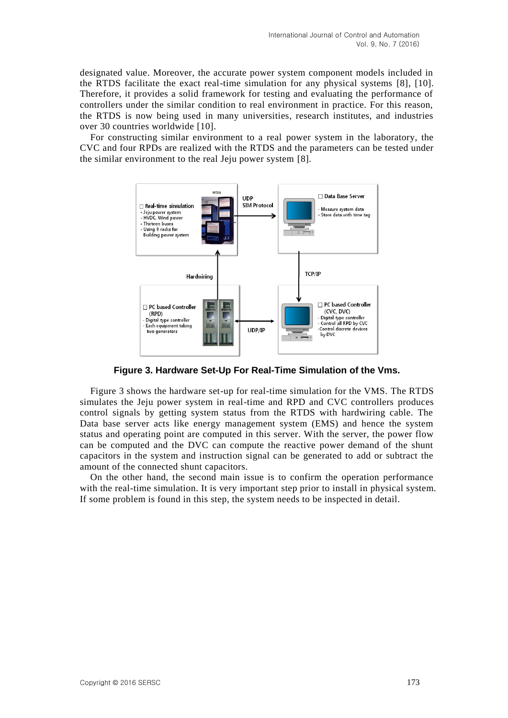designated value. Moreover, the accurate power system component models included in the RTDS facilitate the exact real-time simulation for any physical systems [8], [10]. Therefore, it provides a solid framework for testing and evaluating the performance of controllers under the similar condition to real environment in practice. For this reason, the RTDS is now being used in many universities, research institutes, and industries over 30 countries worldwide [10].

For constructing similar environment to a real power system in the laboratory, the CVC and four RPDs are realized with the RTDS and the parameters can be tested under the similar environment to the real Jeju power system [8].



**Figure 3. Hardware Set-Up For Real-Time Simulation of the Vms.**

Figure 3 shows the hardware set-up for real-time simulation for the VMS. The RTDS simulates the Jeju power system in real-time and RPD and CVC controllers produces control signals by getting system status from the RTDS with hardwiring cable. The Data base server acts like energy management system (EMS) and hence the system status and operating point are computed in this server. With the server, the power flow can be computed and the DVC can compute the reactive power demand of the shunt capacitors in the system and instruction signal can be generated to add or subtract the amount of the connected shunt capacitors.

On the other hand, the second main issue is to confirm the operation performance with the real-time simulation. It is very important step prior to install in physical system. If some problem is found in this step, the system needs to be inspected in detail.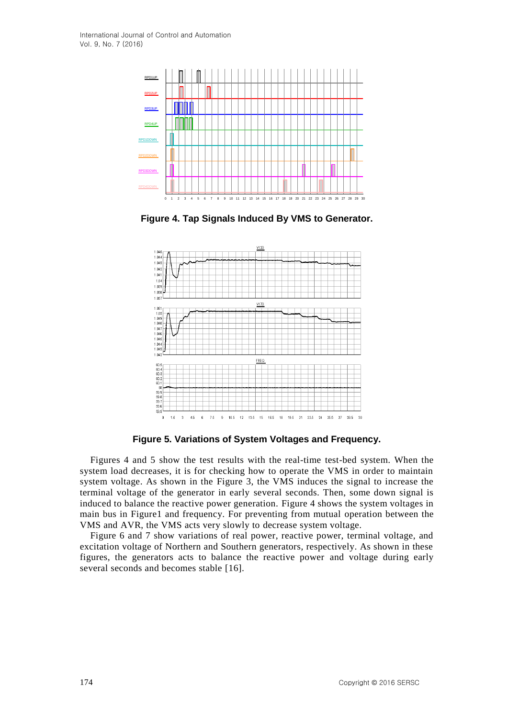International Journal of Control and Automation Vol. 9, No. 7 (2016)



**Figure 4. Tap Signals Induced By VMS to Generator.**



**Figure 5. Variations of System Voltages and Frequency.**

Figures 4 and 5 show the test results with the real-time test-bed system. When the system load decreases, it is for checking how to operate the VMS in order to maintain system voltage. As shown in the Figure 3, the VMS induces the signal to increase the terminal voltage of the generator in early several seconds. Then, some down signal is induced to balance the reactive power generation. Figure 4 shows the system voltages in main bus in Figure1 and frequency. For preventing from mutual operation between the VMS and AVR, the VMS acts very slowly to decrease system voltage.

Figure 6 and 7 show variations of real power, reactive power, terminal voltage, and excitation voltage of Northern and Southern generators, respectively. As shown in these figures, the generators acts to balance the reactive power and voltage during early several seconds and becomes stable [16].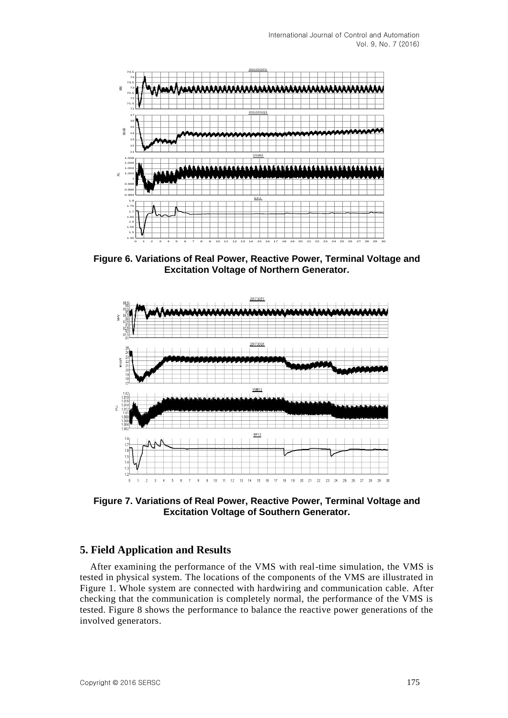

**Figure 6. Variations of Real Power, Reactive Power, Terminal Voltage and Excitation Voltage of Northern Generator.**



**Figure 7. Variations of Real Power, Reactive Power, Terminal Voltage and Excitation Voltage of Southern Generator.**

### **5. Field Application and Results**

After examining the performance of the VMS with real-time simulation, the VMS is tested in physical system. The locations of the components of the VMS are illustrated in Figure 1. Whole system are connected with hardwiring and communication cable. After checking that the communication is completely normal, the performance of the VMS is tested. Figure 8 shows the performance to balance the reactive power generations of the involved generators.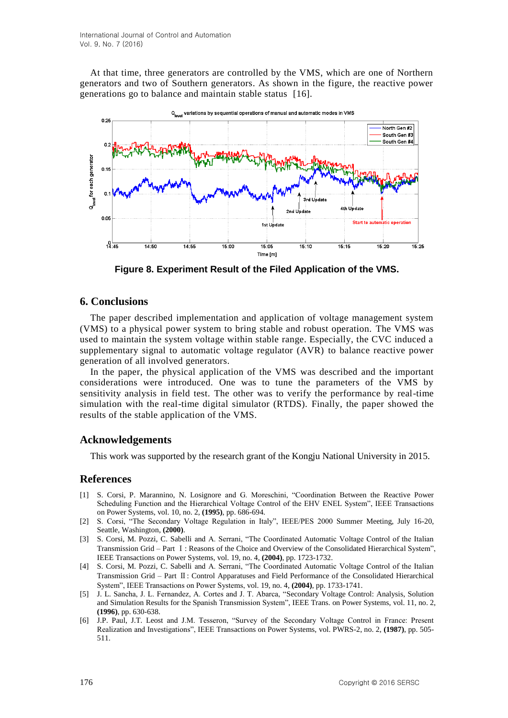At that time, three generators are controlled by the VMS, which are one of Northern generators and two of Southern generators. As shown in the figure, the reactive power generations go to balance and maintain stable status [16].



**Figure 8. Experiment Result of the Filed Application of the VMS.**

#### **6. Conclusions**

The paper described implementation and application of voltage management system (VMS) to a physical power system to bring stable and robust operation. The VMS was used to maintain the system voltage within stable range. Especially, the CVC induced a supplementary signal to automatic voltage regulator (AVR) to balance reactive power generation of all involved generators.

In the paper, the physical application of the VMS was described and the important considerations were introduced. One was to tune the parameters of the VMS by sensitivity analysis in field test. The other was to verify the performance by real-time simulation with the real-time digital simulator (RTDS). Finally, the paper showed the results of the stable application of the VMS.

#### **Acknowledgements**

This work was supported by the research grant of the Kongju National University in 2015.

#### **References**

- [1] S. Corsi, P. Marannino, N. Losignore and G. Moreschini, "Coordination Between the Reactive Power Scheduling Function and the Hierarchical Voltage Control of the EHV ENEL System", IEEE Transactions on Power Systems, vol. 10, no. 2, **(1995)**, pp. 686-694.
- [2] S. Corsi, "The Secondary Voltage Regulation in Italy", IEEE/PES 2000 Summer Meeting, July 16-20, Seattle, Washington, **(2000)**.
- [3] S. Corsi, M. Pozzi, C. Sabelli and A. Serrani, "The Coordinated Automatic Voltage Control of the Italian Transmission Grid – Part Ⅰ: Reasons of the Choice and Overview of the Consolidated Hierarchical System", IEEE Transactions on Power Systems, vol. 19, no. 4, **(2004)**, pp. 1723-1732.
- [4] S. Corsi, M. Pozzi, C. Sabelli and A. Serrani, "The Coordinated Automatic Voltage Control of the Italian Transmission Grid – Part Ⅱ: Control Apparatuses and Field Performance of the Consolidated Hierarchical System", IEEE Transactions on Power Systems, vol. 19, no. 4, **(2004)**, pp. 1733-1741.
- [5] J. L. Sancha, J. L. Fernandez, A. Cortes and J. T. Abarca, "Secondary Voltage Control: Analysis, Solution and Simulation Results for the Spanish Transmission System", IEEE Trans. on Power Systems, vol. 11, no. 2, **(1996)**, pp. 630-638.
- [6] J.P. Paul, J.T. Leost and J.M. Tesseron, "Survey of the Secondary Voltage Control in France: Present Realization and Investigations", IEEE Transactions on Power Systems, vol. PWRS-2, no. 2, **(1987)**, pp. 505- 511.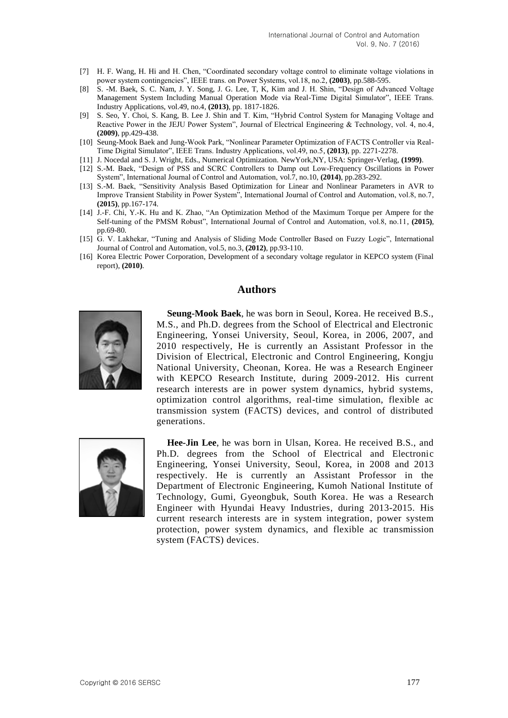- [7] H. F. Wang, H. Hi and H. Chen, "Coordinated secondary voltage control to eliminate voltage violations in power system contingencies", IEEE trans. on Power Systems, vol.18, no.2, **(2003)**, pp.588-595.
- [8] S. -M. Baek, S. C. Nam, J. Y. Song, J. G. Lee, T, K, Kim and J. H. Shin, "Design of Advanced Voltage Management System Including Manual Operation Mode via Real-Time Digital Simulator", IEEE Trans. Industry Applications, vol.49, no.4, **(2013)**, pp. 1817-1826.
- [9] S. Seo, Y. Choi, S. Kang, B. Lee J. Shin and T. Kim, "Hybrid Control System for Managing Voltage and Reactive Power in the JEJU Power System", Journal of Electrical Engineering & Technology, vol. 4, no.4, **(2009)**, pp.429-438.
- [10] Seung-Mook Baek and Jung-Wook Park, "Nonlinear Parameter Optimization of FACTS Controller via Real-Time Digital Simulator", IEEE Trans. Industry Applications, vol.49, no.5, **(2013)**, pp. 2271-2278.
- [11] J. Nocedal and S. J. Wright, Eds., Numerical Optimization. NewYork,NY, USA: Springer-Verlag, **(1999)**.
- [12] S.-M. Baek, "Design of PSS and SCRC Controllers to Damp out Low-Frequency Oscillations in Power System", International Journal of Control and Automation, vol.7, no.10, **(2014)**, pp.283-292.
- [13] S.-M. Baek, "Sensitivity Analysis Based Optimization for Linear and Nonlinear Parameters in AVR to Improve Transient Stability in Power System", International Journal of Control and Automation, vol.8, no.7, **(2015)**, pp.167-174.
- [14] J.-F. Chi, Y.-K. Hu and K. Zhao, "An Optimization Method of the Maximum Torque per Ampere for the Self-tuning of the PMSM Robust", International Journal of Control and Automation, vol.8, no.11, **(2015)**, pp.69-80.
- [15] G. V. Lakhekar, "Tuning and Analysis of Sliding Mode Controller Based on Fuzzy Logic", International Journal of Control and Automation, vol.5, no.3, **(2012)**, pp.93-110.
- [16] Korea Electric Power Corporation, Development of a secondary voltage regulator in KEPCO system (Final report), **(2010)**.

#### **Authors**



**Seung-Mook Baek**, he was born in Seoul, Korea. He received B.S., M.S., and Ph.D. degrees from the School of Electrical and Electronic Engineering, Yonsei University, Seoul, Korea, in 2006, 2007, and 2010 respectively, He is currently an Assistant Professor in the Division of Electrical, Electronic and Control Engineering, Kongju National University, Cheonan, Korea. He was a Research Engineer with KEPCO Research Institute, during 2009-2012. His current research interests are in power system dynamics, hybrid systems, optimization control algorithms, real-time simulation, flexible ac transmission system (FACTS) devices, and control of distributed generations.



**Hee-Jin Lee**, he was born in Ulsan, Korea. He received B.S., and Ph.D. degrees from the School of Electrical and Electronic Engineering, Yonsei University, Seoul, Korea, in 2008 and 2013 respectively. He is currently an Assistant Professor in the Department of Electronic Engineering, Kumoh National Institute of Technology, Gumi, Gyeongbuk, South Korea. He was a Research Engineer with Hyundai Heavy Industries, during 2013-2015. His current research interests are in system integration, power system protection, power system dynamics, and flexible ac transmission system (FACTS) devices.